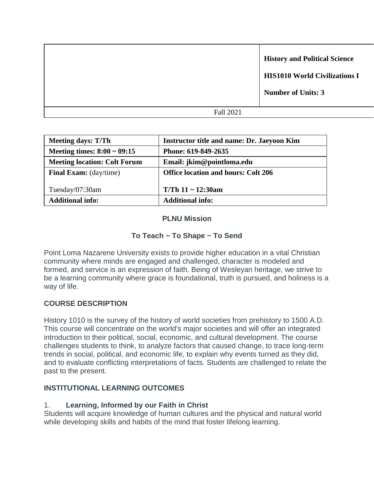|                  | <b>History and Political Science</b><br><b>HIS1010 World Civilizations I</b><br><b>Number of Units: 3</b> |
|------------------|-----------------------------------------------------------------------------------------------------------|
| <b>Fall 2021</b> |                                                                                                           |
|                  |                                                                                                           |

| <b>Meeting days: T/Th</b>           | <b>Instructor title and name: Dr. Jaeyoon Kim</b> |
|-------------------------------------|---------------------------------------------------|
| Meeting times: $8:00 \sim 09:15$    | Phone: 619-849-2635                               |
| <b>Meeting location: Colt Forum</b> | Email: jkim@pointloma.edu                         |
| <b>Final Exam:</b> (day/time)       | <b>Office location and hours: Colt 206</b>        |
|                                     |                                                   |
| Tuesday/07:30am                     | T/Th $11 \sim 12:30$ am                           |
| <b>Additional info:</b>             | <b>Additional info:</b>                           |

#### **PLNU Mission**

# **To Teach ~ To Shape ~ To Send**

Point Loma Nazarene University exists to provide higher education in a vital Christian community where minds are engaged and challenged, character is modeled and formed, and service is an expression of faith. Being of Wesleyan heritage, we strive to be a learning community where grace is foundational, truth is pursued, and holiness is a way of life.

# **COURSE DESCRIPTION**

History 1010 is the survey of the history of world societies from prehistory to 1500 A.D. This course will concentrate on the world's major societies and will offer an integrated introduction to their political, social, economic, and cultural development. The course challenges students to think, to analyze factors that caused change, to trace long-term trends in social, political, and economic life, to explain why events turned as they did, and to evaluate conflicting interpretations of facts. Students are challenged to relate the past to the present.

# **INSTITUTIONAL LEARNING OUTCOMES**

# 1. **Learning, Informed by our Faith in Christ**

Students will acquire knowledge of human cultures and the physical and natural world while developing skills and habits of the mind that foster lifelong learning.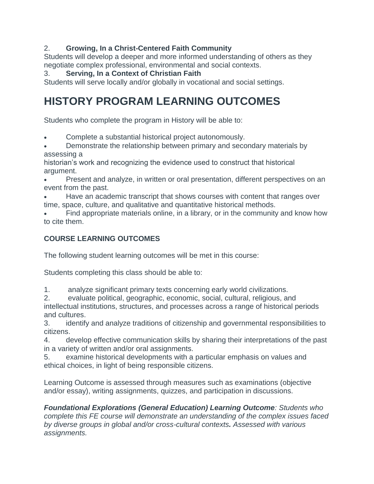# 2. **Growing, In a Christ-Centered Faith Community**

Students will develop a deeper and more informed understanding of others as they negotiate complex professional, environmental and social contexts.

# 3. **Serving, In a Context of Christian Faith**

Students will serve locally and/or globally in vocational and social settings.

# **HISTORY PROGRAM LEARNING OUTCOMES**

Students who complete the program in History will be able to:

- Complete a substantial historical project autonomously.
- Demonstrate the relationship between primary and secondary materials by assessing a

historian's work and recognizing the evidence used to construct that historical argument.

- Present and analyze, in written or oral presentation, different perspectives on an event from the past.
- Have an academic transcript that shows courses with content that ranges over time, space, culture, and qualitative and quantitative historical methods.

 Find appropriate materials online, in a library, or in the community and know how to cite them.

# **COURSE LEARNING OUTCOMES**

The following student learning outcomes will be met in this course:

Students completing this class should be able to:

1. analyze significant primary texts concerning early world civilizations.

2. evaluate political, geographic, economic, social, cultural, religious, and intellectual institutions, structures, and processes across a range of historical periods and cultures.

3. identify and analyze traditions of citizenship and governmental responsibilities to citizens.

4. develop effective communication skills by sharing their interpretations of the past in a variety of written and/or oral assignments.

5. examine historical developments with a particular emphasis on values and ethical choices, in light of being responsible citizens.

Learning Outcome is assessed through measures such as examinations (objective and/or essay), writing assignments, quizzes, and participation in discussions.

*Foundational Explorations (General Education) Learning Outcome: Students who complete this FE course will demonstrate an understanding of the complex issues faced by diverse groups in global and/or cross-cultural contexts. Assessed with various assignments.*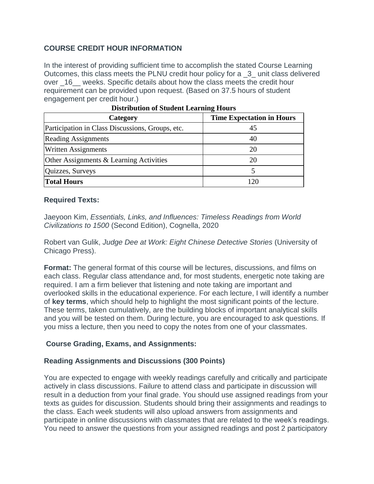# **COURSE CREDIT HOUR INFORMATION**

In the interest of providing sufficient time to accomplish the stated Course Learning Outcomes, this class meets the PLNU credit hour policy for a \_3\_ unit class delivered over 16 weeks. Specific details about how the class meets the credit hour requirement can be provided upon request. (Based on 37.5 hours of student engagement per credit hour.)

| Category                                         | <b>Time Expectation in Hours</b> |  |  |  |  |
|--------------------------------------------------|----------------------------------|--|--|--|--|
| Participation in Class Discussions, Groups, etc. | 45                               |  |  |  |  |
| <b>Reading Assignments</b>                       | 40                               |  |  |  |  |
| <b>Written Assignments</b>                       | 20                               |  |  |  |  |
| Other Assignments & Learning Activities          | 20                               |  |  |  |  |
| Quizzes, Surveys                                 |                                  |  |  |  |  |
| <b>Total Hours</b>                               | 120                              |  |  |  |  |

| <b>Distribution of Student Learning Hours</b> |  |  |
|-----------------------------------------------|--|--|
|                                               |  |  |

#### **Required Texts:**

Jaeyoon Kim, *Essentials, Links, and Influences: Timeless Readings from World Civilizations to 1500* (Second Edition), Cognella, 2020

Robert van Gulik, *Judge Dee at Work: Eight Chinese Detective Stories* (University of Chicago Press).

**Format:** The general format of this course will be lectures, discussions, and films on each class. Regular class attendance and, for most students, energetic note taking are required. I am a firm believer that listening and note taking are important and overlooked skills in the educational experience. For each lecture, I will identify a number of **key terms**, which should help to highlight the most significant points of the lecture. These terms, taken cumulatively, are the building blocks of important analytical skills and you will be tested on them. During lecture, you are encouraged to ask questions. If you miss a lecture, then you need to copy the notes from one of your classmates.

#### **Course Grading, Exams, and Assignments:**

#### **Reading Assignments and Discussions (300 Points)**

You are expected to engage with weekly readings carefully and critically and participate actively in class discussions. Failure to attend class and participate in discussion will result in a deduction from your final grade. You should use assigned readings from your texts as guides for discussion. Students should bring their assignments and readings to the class. Each week students will also upload answers from assignments and participate in online discussions with classmates that are related to the week's readings. You need to answer the questions from your assigned readings and post 2 participatory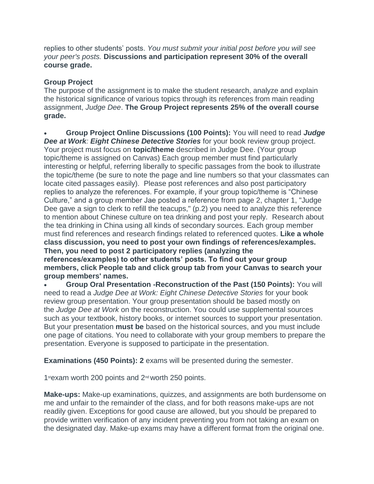replies to other students' posts. *You must submit your initial post before you will see your peer's posts.* **Discussions and participation represent 30% of the overall course grade.**

#### **Group Project**

The purpose of the assignment is to make the student research, analyze and explain the historical significance of various topics through its references from main reading assignment, *Judge Dee*. **The Group Project represents 25% of the overall course grade.**

 **Group Project Online Discussions (100 Points):** You will need to read *Judge Dee at Work: Eight Chinese Detective Stories* for your book review group project. Your project must focus on **topic/theme** described in Judge Dee. (Your group topic/theme is assigned on Canvas) Each group member must find particularly interesting or helpful, referring liberally to specific passages from the book to illustrate the topic/theme (be sure to note the page and line numbers so that your classmates can locate cited passages easily). Please post references and also post participatory replies to analyze the references. For example, if your group topic/theme is "Chinese Culture," and a group member Jae posted a reference from page 2, chapter 1, "Judge Dee gave a sign to clerk to refill the teacups," (p.2) you need to analyze this reference to mention about Chinese culture on tea drinking and post your reply. Research about the tea drinking in China using all kinds of secondary sources. Each group member must find references and research findings related to referenced quotes. **Like a whole class discussion, you need to post your own findings of references/examples. Then, you need to post 2 participatory replies (analyzing the references/examples) to other students' posts. To find out your group members, click People tab and click group tab from your Canvas to search your group members' names.**

 **Group Oral Presentation -Reconstruction of the Past (150 Points):** You will need to read a *Judge Dee at Work: Eight Chinese Detective Stories* for your book review group presentation. Your group presentation should be based mostly on the *Judge Dee at Work* on the reconstruction. You could use supplemental sources such as your textbook, history books, or internet sources to support your presentation. But your presentation **must be** based on the historical sources, and you must include one page of citations. You need to collaborate with your group members to prepare the presentation. Everyone is supposed to participate in the presentation.

**Examinations (450 Points): 2** exams will be presented during the semester.

1stexam worth 200 points and  $2<sup>nd</sup>$  worth 250 points.

**Make-ups:** Make-up examinations, quizzes, and assignments are both burdensome on me and unfair to the remainder of the class, and for both reasons make-ups are not readily given. Exceptions for good cause are allowed, but you should be prepared to provide written verification of any incident preventing you from not taking an exam on the designated day. Make-up exams may have a different format from the original one.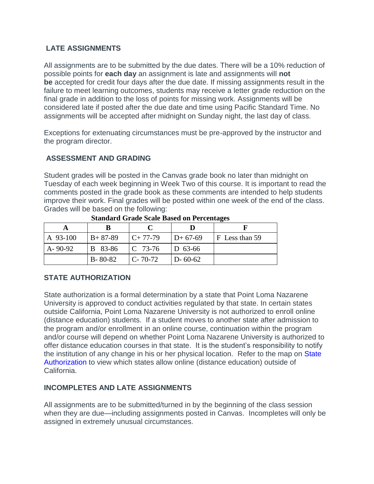# **LATE ASSIGNMENTS**

All assignments are to be submitted by the due dates. There will be a 10% reduction of possible points for **each day** an assignment is late and assignments will **not be** accepted for credit four days after the due date. If missing assignments result in the failure to meet learning outcomes, students may receive a letter grade reduction on the final grade in addition to the loss of points for missing work. Assignments will be considered late if posted after the due date and time using Pacific Standard Time. No assignments will be accepted after midnight on Sunday night, the last day of class.

Exceptions for extenuating circumstances must be pre-approved by the instructor and the program director.

# **ASSESSMENT AND GRADING**

Student grades will be posted in the Canvas grade book no later than midnight on Tuesday of each week beginning in Week Two of this course. It is important to read the comments posted in the grade book as these comments are intended to help students improve their work. Final grades will be posted within one week of the end of the class. Grades will be based on the following:

| A 93-100      | $B + 87-89$   | $C+77-79$     | $D+67-69$     | F Less than 59 |
|---------------|---------------|---------------|---------------|----------------|
| $A - 90 - 92$ | B 83-86       | $IC$ 73-76    | $ D 63-66 $   |                |
|               | $B - 80 - 82$ | $C - 70 - 72$ | $D - 60 - 62$ |                |

**Standard Grade Scale Based on Percentages**

# **STATE AUTHORIZATION**

State authorization is a formal determination by a state that Point Loma Nazarene University is approved to conduct activities regulated by that state. In certain states outside California, Point Loma Nazarene University is not authorized to enroll online (distance education) students. If a student moves to another state after admission to the program and/or enrollment in an online course, continuation within the program and/or course will depend on whether Point Loma Nazarene University is authorized to offer distance education courses in that state. It is the student's responsibility to notify the institution of any change in his or her physical location. Refer to the map on State [Authorization](https://www.pointloma.edu/offices/office-institutional-effectiveness-research/disclosures) to view which states allow online (distance education) outside of California.

# **INCOMPLETES AND LATE ASSIGNMENTS**

All assignments are to be submitted/turned in by the beginning of the class session when they are due—including assignments posted in Canvas. Incompletes will only be assigned in extremely unusual circumstances.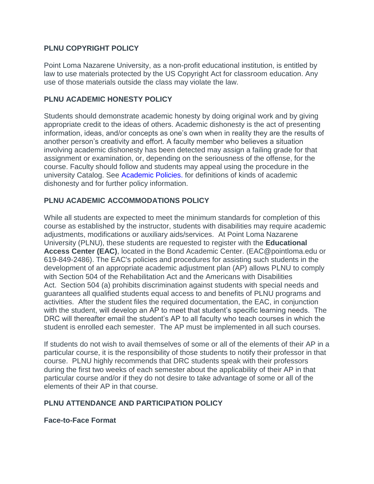#### **PLNU COPYRIGHT POLICY**

Point Loma Nazarene University, as a non-profit educational institution, is entitled by law to use materials protected by the US Copyright Act for classroom education. Any use of those materials outside the class may violate the law.

#### **PLNU ACADEMIC HONESTY POLICY**

Students should demonstrate academic honesty by doing original work and by giving appropriate credit to the ideas of others. Academic dishonesty is the act of presenting information, ideas, and/or concepts as one's own when in reality they are the results of another person's creativity and effort. A faculty member who believes a situation involving academic dishonesty has been detected may assign a failing grade for that assignment or examination, or, depending on the seriousness of the offense, for the course. Faculty should follow and students may appeal using the procedure in the university Catalog. See [Academic Policies.](http://catalog.pointloma.edu/content.php?catoid=18&navoid=1278) for definitions of kinds of academic dishonesty and for further policy information.

#### **PLNU ACADEMIC ACCOMMODATIONS POLICY**

While all students are expected to meet the minimum standards for completion of this course as established by the instructor, students with disabilities may require academic adjustments, modifications or auxiliary aids/services. At Point Loma Nazarene University (PLNU), these students are requested to register with the **Educational Access Center (EAC)**, located in the Bond Academic Center. (EAC@pointloma.edu or 619-849-2486). The EAC's policies and procedures for assisting such students in the development of an appropriate academic adjustment plan (AP) allows PLNU to comply with Section 504 of the Rehabilitation Act and the Americans with Disabilities Act. Section 504 (a) prohibits discrimination against students with special needs and guarantees all qualified students equal access to and benefits of PLNU programs and activities. After the student files the required documentation, the EAC, in conjunction with the student, will develop an AP to meet that student's specific learning needs. The DRC will thereafter email the student's AP to all faculty who teach courses in which the student is enrolled each semester. The AP must be implemented in all such courses.

If students do not wish to avail themselves of some or all of the elements of their AP in a particular course, it is the responsibility of those students to notify their professor in that course. PLNU highly recommends that DRC students speak with their professors during the first two weeks of each semester about the applicability of their AP in that particular course and/or if they do not desire to take advantage of some or all of the elements of their AP in that course.

# **PLNU ATTENDANCE AND PARTICIPATION POLICY**

#### **Face-to-Face Format**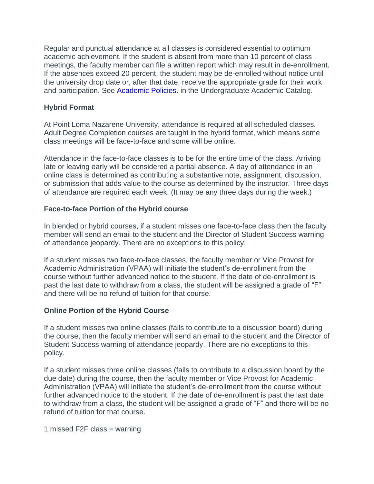Regular and punctual attendance at all classes is considered essential to optimum academic achievement. If the student is absent from more than 10 percent of class meetings, the faculty member can file a written report which may result in de-enrollment. If the absences exceed 20 percent, the student may be de-enrolled without notice until the university drop date or, after that date, receive the appropriate grade for their work and participation. See [Academic Policies.](http://catalog.pointloma.edu/content.php?catoid=18&navoid=1278) in the Undergraduate Academic Catalog.

# **Hybrid Format**

At Point Loma Nazarene University, attendance is required at all scheduled classes. Adult Degree Completion courses are taught in the hybrid format, which means some class meetings will be face-to-face and some will be online.

Attendance in the face-to-face classes is to be for the entire time of the class. Arriving late or leaving early will be considered a partial absence. A day of attendance in an online class is determined as contributing a substantive note, assignment, discussion, or submission that adds value to the course as determined by the instructor. Three days of attendance are required each week. (It may be any three days during the week.)

# **Face-to-face Portion of the Hybrid course**

In blended or hybrid courses, if a student misses one face-to-face class then the faculty member will send an email to the student and the Director of Student Success warning of attendance jeopardy. There are no exceptions to this policy.

If a student misses two face-to-face classes, the faculty member or Vice Provost for Academic Administration (VPAA) will initiate the student's de-enrollment from the course without further advanced notice to the student. If the date of de-enrollment is past the last date to withdraw from a class, the student will be assigned a grade of "F" and there will be no refund of tuition for that course.

# **Online Portion of the Hybrid Course**

If a student misses two online classes (fails to contribute to a discussion board) during the course, then the faculty member will send an email to the student and the Director of Student Success warning of attendance jeopardy. There are no exceptions to this policy.

If a student misses three online classes (fails to contribute to a discussion board by the due date) during the course, then the faculty member or Vice Provost for Academic Administration (VPAA) will initiate the student's de-enrollment from the course without further advanced notice to the student. If the date of de-enrollment is past the last date to withdraw from a class, the student will be assigned a grade of "F" and there will be no refund of tuition for that course.

1 missed F2F class = warning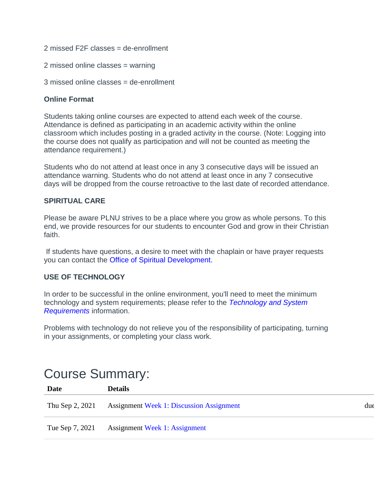- 2 missed F2F classes = de-enrollment
- 2 missed online classes = warning
- 3 missed online classes = de-enrollment

#### **Online Format**

Students taking online courses are expected to attend each week of the course. Attendance is defined as participating in an academic activity within the online classroom which includes posting in a graded activity in the course. (Note: Logging into the course does not qualify as participation and will not be counted as meeting the attendance requirement.)

Students who do not attend at least once in any 3 consecutive days will be issued an attendance warning. Students who do not attend at least once in any 7 consecutive days will be dropped from the course retroactive to the last date of recorded attendance.

#### **SPIRITUAL CARE**

Please be aware PLNU strives to be a place where you grow as whole persons. To this end, we provide resources for our students to encounter God and grow in their Christian faith.

If students have questions, a desire to meet with the chaplain or have prayer requests you can contact the [Office of Spiritual Development.](https://www.pointloma.edu/offices/spiritual-development)

#### **USE OF TECHNOLOGY**

In order to be successful in the online environment, you'll need to meet the minimum technology and system requirements; please refer to the *[Technology and System](https://help.pointloma.edu/TDClient/1808/Portal/KB/ArticleDet?ID=108349)  [Requirements](https://help.pointloma.edu/TDClient/1808/Portal/KB/ArticleDet?ID=108349)* information.

Problems with technology do not relieve you of the responsibility of participating, turning in your assignments, or completing your class work.

# Course Summary:

| Date            | <b>Details</b>                                  |     |
|-----------------|-------------------------------------------------|-----|
| Thu Sep 2, 2021 | <b>Assignment Week 1: Discussion Assignment</b> | due |
| Tue Sep 7, 2021 | <b>Assignment Week 1: Assignment</b>            |     |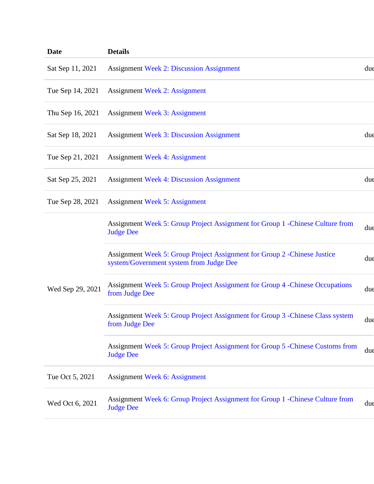| <b>Date</b>      | <b>Details</b>                                                                                                       |     |
|------------------|----------------------------------------------------------------------------------------------------------------------|-----|
| Sat Sep 11, 2021 | <b>Assignment Week 2: Discussion Assignment</b>                                                                      | due |
| Tue Sep 14, 2021 | <b>Assignment Week 2: Assignment</b>                                                                                 |     |
| Thu Sep 16, 2021 | <b>Assignment Week 3: Assignment</b>                                                                                 |     |
| Sat Sep 18, 2021 | <b>Assignment Week 3: Discussion Assignment</b>                                                                      | due |
| Tue Sep 21, 2021 | <b>Assignment Week 4: Assignment</b>                                                                                 |     |
| Sat Sep 25, 2021 | <b>Assignment Week 4: Discussion Assignment</b>                                                                      | due |
| Tue Sep 28, 2021 | <b>Assignment Week 5: Assignment</b>                                                                                 |     |
| Wed Sep 29, 2021 | Assignment Week 5: Group Project Assignment for Group 1 - Chinese Culture from<br><b>Judge Dee</b>                   | due |
|                  | Assignment Week 5: Group Project Assignment for Group 2 - Chinese Justice<br>system/Government system from Judge Dee | due |
|                  | Assignment Week 5: Group Project Assignment for Group 4 - Chinese Occupations<br>from Judge Dee                      | due |
|                  | Assignment Week 5: Group Project Assignment for Group 3 - Chinese Class system<br>from Judge Dee                     | due |
|                  | Assignment Week 5: Group Project Assignment for Group 5 - Chinese Customs from<br><b>Judge Dee</b>                   | due |
| Tue Oct 5, 2021  | <b>Assignment Week 6: Assignment</b>                                                                                 |     |
| Wed Oct 6, 2021  | Assignment Week 6: Group Project Assignment for Group 1 - Chinese Culture from<br><b>Judge Dee</b>                   | due |
|                  |                                                                                                                      |     |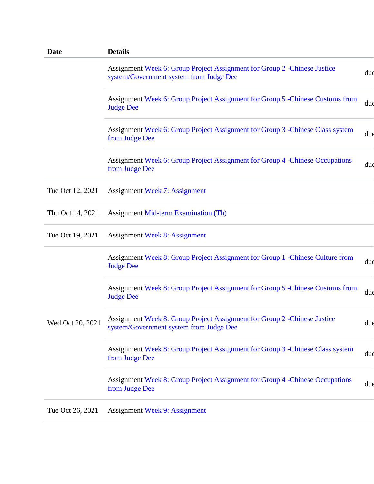| <b>Date</b>      | <b>Details</b>                                                                                                       |     |
|------------------|----------------------------------------------------------------------------------------------------------------------|-----|
|                  | Assignment Week 6: Group Project Assignment for Group 2 - Chinese Justice<br>system/Government system from Judge Dee | due |
|                  | Assignment Week 6: Group Project Assignment for Group 5 - Chinese Customs from<br><b>Judge Dee</b>                   | dud |
|                  | Assignment Week 6: Group Project Assignment for Group 3 - Chinese Class system<br>from Judge Dee                     | dud |
|                  | Assignment Week 6: Group Project Assignment for Group 4 - Chinese Occupations<br>from Judge Dee                      | due |
| Tue Oct 12, 2021 | <b>Assignment Week 7: Assignment</b>                                                                                 |     |
| Thu Oct 14, 2021 | <b>Assignment Mid-term Examination (Th)</b>                                                                          |     |
| Tue Oct 19, 2021 | <b>Assignment Week 8: Assignment</b>                                                                                 |     |
| Wed Oct 20, 2021 | Assignment Week 8: Group Project Assignment for Group 1 - Chinese Culture from<br><b>Judge Dee</b>                   | due |
|                  | Assignment Week 8: Group Project Assignment for Group 5 - Chinese Customs from<br><b>Judge Dee</b>                   | due |
|                  | Assignment Week 8: Group Project Assignment for Group 2 - Chinese Justice<br>system/Government system from Judge Dee | due |
|                  | Assignment Week 8: Group Project Assignment for Group 3 - Chinese Class system<br>from Judge Dee                     | due |
|                  | Assignment Week 8: Group Project Assignment for Group 4 -Chinese Occupations<br>from Judge Dee                       | due |
| Tue Oct 26, 2021 | <b>Assignment Week 9: Assignment</b>                                                                                 |     |